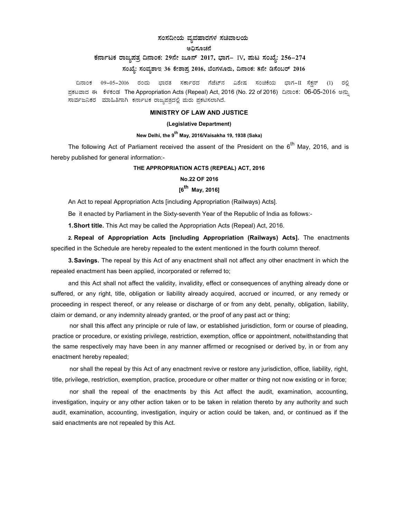# ಸಂಸದೀಯ ವ್ಯವಹಾರಗಳ ಸಚಿವಾಲಯ

#### ಅದಿಸೂಚನೆ

# ಕರ್ನಾಟಕ ರಾಜ್ಯಪತ್ರ ದಿನಾಂಕ: 29ನೇ ಜೂನ್ 2017, ಭಾಗ– IV, ಮಟ ಸಂಖ್ಯೆ: 256-274

## ಸಂಖ್ಯೆ: ಸಂವ್ಯಶಾಇ 36 ಕೇಶಾಪ್ರ 2016, ಬೆಂಗಳೂರು, ದಿನಾಂಕ: 8ನೇ ಡಿಸೆಂಬರ್ 2016

ದಿನಾಂಕ 09–05–2016 ರಂದು ಭಾರತ ಸರ್ಕಾರದ ಗೆಜೆಟ್ನ ವಿಶೇಷ ಸಂಚಿಕೆಯ ಭಾಗ−II ಸೆಕ್ಷನ್ (1) ರಲ್ಲಿ ಪ್ರಕಟವಾದ ಈ ಕೆಳಕಂಡ The Appropriation Acts (Repeal) Act, 2016 (No. 22 of 2016) ದಿನಾಂಕ: 06-05-2016 ಅನ್ಸು ಸಾರ್ವಜನಿಕರ ಮಾಹಿತಿಗಾಗಿ ಕರ್ನಾಟಕ ರಾಜ್ಯಪತ್ರದಲ್ಲಿ ಮರು ಪ್ರಕಟಿಸಲಾಗಿದೆ.

## MINISTRY OF LAW AND JUSTICE

#### (Legislative Department)

# New Delhi, the 9<sup>th</sup> May, 2016/Vaisakha 19, 1938 (Saka)

The following Act of Parliament received the assent of the President on the  $6^{th}$  May, 2016, and is hereby published for general information:-

#### THE APPROPRIATION ACTS (REPEAL) ACT, 2016

## No.22 OF 2016

# $[6<sup>th</sup>$  May, 2016]

An Act to repeal Appropriation Acts [including Appropriation (Railways) Acts].

Be it enacted by Parliament in the Sixty-seventh Year of the Republic of India as follows:-

1. Short title. This Act may be called the Appropriation Acts (Repeal) Act, 2016.

2. Repeal of Appropriation Acts [including Appropriation (Railways) Acts]. The enactments specified in the Schedule are hereby repealed to the extent mentioned in the fourth column thereof.

**3. Savings.** The repeal by this Act of any enactment shall not affect any other enactment in which the repealed enactment has been applied, incorporated or referred to;

and this Act shall not affect the validity, invalidity, effect or consequences of anything already done or suffered, or any right, title, obligation or liability already acquired, accrued or incurred, or any remedy or proceeding in respect thereof, or any release or discharge of or from any debt, penalty, obligation, liability, claim or demand, or any indemnity already granted, or the proof of any past act or thing;

nor shall this affect any principle or rule of law, or established jurisdiction, form or course of pleading, practice or procedure, or existing privilege, restriction, exemption, office or appointment, notwithstanding that the same respectively may have been in any manner affirmed or recognised or derived by, in or from any enactment hereby repealed;

nor shall the repeal by this Act of any enactment revive or restore any jurisdiction, office, liability, right, title, privilege, restriction, exemption, practice, procedure or other matter or thing not now existing or in force;

nor shall the repeal of the enactments by this Act affect the audit, examination, accounting, investigation, inquiry or any other action taken or to be taken in relation thereto by any authority and such audit, examination, accounting, investigation, inquiry or action could be taken, and, or continued as if the said enactments are not repealed by this Act.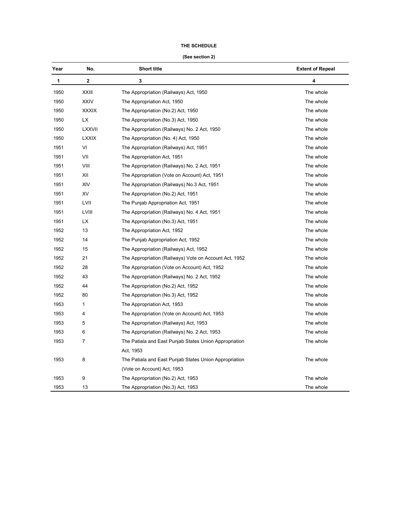## THE SCHEDULE

#### (See section 2)

| Year | No.            | <b>Short title</b>                                     | <b>Extent of Repeal</b> |
|------|----------------|--------------------------------------------------------|-------------------------|
| 1    | 2              | 3                                                      | 4                       |
| 1950 | <b>XXIII</b>   | The Appropriation (Railways) Act, 1950                 | The whole               |
| 1950 | <b>XXIV</b>    | The Appropriation Act, 1950                            | The whole               |
| 1950 | <b>XXXIX</b>   | The Appropriation (No.2) Act, 1950                     | The whole               |
| 1950 | LX             | The Appropriation (No.3) Act, 1950                     | The whole               |
| 1950 | LXXVII         | The Appropriation (Railways) No. 2 Act, 1950           | The whole               |
| 1950 | <b>LXXIX</b>   | The Appropriation (No. 4) Act, 1950                    | The whole               |
| 1951 | VI             | The Appropriation (Railways) Act, 1951                 | The whole               |
| 1951 | VII            | The Appropriation Act, 1951                            | The whole               |
| 1951 | VIII           | The Appropriation (Railways) No. 2 Act, 1951           | The whole               |
| 1951 | XII            | The Appropriation (Vote on Account) Act, 1951          | The whole               |
| 1951 | XIV            | The Appropriation (Railways) No.3 Act, 1951            | The whole               |
| 1951 | XV             | The Appropriation (No.2) Act, 1951                     | The whole               |
| 1951 | LVII           | The Punjab Appropriation Act, 1951                     | The whole               |
| 1951 | LVIII          | The Appropriation (Railways) No. 4 Act, 1951           | The whole               |
| 1951 | LX             | The Appropriation (No.3) Act, 1951                     | The whole               |
| 1952 | 13             | The Appropriation Act, 1952                            | The whole               |
| 1952 | 14             | The Punjab Appropriation Act, 1952                     | The whole               |
| 1952 | 15             | The Appropriation (Railways) Act, 1952                 | The whole               |
| 1952 | 21             | The Appropriation (Railways) Vote on Account Act, 1952 | The whole               |
| 1952 | 28             | The Appropriation (Vote on Account) Act, 1952          | The whole               |
| 1952 | 43             | The Appropriation (Railways) No. 2 Act, 1952           | The whole               |
| 1952 | 44             | The Appropriation (No.2) Act, 1952                     | The whole               |
| 1952 | 80             | The Appropriation (No.3) Act, 1952                     | The whole               |
| 1953 | $\mathbf{1}$   | The Appropriation Act, 1953                            | The whole               |
| 1953 | 4              | The Appropriation (Vote on Account) Act, 1953          | The whole               |
| 1953 | 5              | The Appropriation (Railways) Act, 1953                 | The whole               |
| 1953 | 6              | The Appropriation (Railways) No. 2 Act, 1953           | The whole               |
| 1953 | $\overline{7}$ | The Patiala and East Punjab States Union Appropriation | The whole               |
|      |                | Act, 1953                                              |                         |
| 1953 | 8              | The Patiala and East Punjab States Union Appropriation | The whole               |
|      |                | (Vote on Account) Act, 1953                            |                         |
| 1953 | 9              | The Appropriation (No.2) Act, 1953                     | The whole               |
| 1953 | 13             | The Appropriation (No.3) Act, 1953                     | The whole               |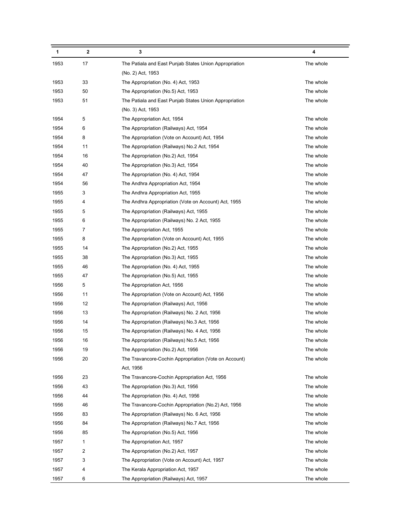| 1    | $\overline{\mathbf{2}}$ | 3                                                      | 4         |
|------|-------------------------|--------------------------------------------------------|-----------|
| 1953 | 17                      | The Patiala and East Punjab States Union Appropriation | The whole |
|      |                         | (No. 2) Act, 1953                                      |           |
| 1953 | 33                      | The Appropriation (No. 4) Act, 1953                    | The whole |
| 1953 | 50                      | The Appropriation (No.5) Act, 1953                     | The whole |
| 1953 | 51                      | The Patiala and East Punjab States Union Appropriation | The whole |
|      |                         | (No. 3) Act, 1953                                      |           |
| 1954 | 5                       | The Appropriation Act, 1954                            | The whole |
| 1954 | 6                       | The Appropriation (Railways) Act, 1954                 | The whole |
| 1954 | 8                       | The Appropriation (Vote on Account) Act, 1954          | The whole |
| 1954 | 11                      | The Appropriation (Railways) No.2 Act, 1954            | The whole |
| 1954 | 16                      | The Appropriation (No.2) Act, 1954                     | The whole |
| 1954 | 40                      | The Appropriation (No.3) Act, 1954                     | The whole |
| 1954 | 47                      | The Appropriation (No. 4) Act, 1954                    | The whole |
| 1954 | 56                      | The Andhra Appropriation Act, 1954                     | The whole |
| 1955 | 3                       | The Andhra Appropriation Act, 1955                     | The whole |
| 1955 | 4                       | The Andhra Appropriation (Vote on Account) Act, 1955   | The whole |
| 1955 | 5                       | The Appropriation (Railways) Act, 1955                 | The whole |
| 1955 | 6                       | The Appropriation (Railways) No. 2 Act, 1955           | The whole |
| 1955 | 7                       | The Appropriation Act, 1955                            | The whole |
| 1955 | 8                       | The Appropriation (Vote on Account) Act, 1955          | The whole |
| 1955 | 14                      | The Appropriation (No.2) Act, 1955                     | The whole |
| 1955 | 38                      | The Appropriation (No.3) Act, 1955                     | The whole |
| 1955 | 46                      | The Appropriation (No. 4) Act, 1955                    | The whole |
| 1955 | 47                      | The Appropriation (No.5) Act, 1955                     | The whole |
| 1956 | 5                       | The Appropriation Act, 1956                            | The whole |
| 1956 | 11                      | The Appropriation (Vote on Account) Act, 1956          | The whole |
| 1956 | 12                      | The Appropriation (Railways) Act, 1956                 | The whole |
| 1956 | 13                      | The Appropriation (Railways) No. 2 Act, 1956           | The whole |
| 1956 | 14                      | The Appropriation (Railways) No.3 Act, 1956            | The whole |
| 1956 | 15                      | The Appropriation (Railways) No. 4 Act, 1956           | The whole |
| 1956 | 16                      | The Appropriation (Railways) No.5 Act, 1956            | The whole |
| 1956 | 19                      | The Appropriation (No.2) Act, 1956                     | The whole |
| 1956 | 20                      | The Travancore-Cochin Appropriation (Vote on Account)  | The whole |
|      |                         | Act, 1956                                              |           |
| 1956 | 23                      | The Travancore-Cochin Appropriation Act, 1956          | The whole |
| 1956 | 43                      | The Appropriation (No.3) Act, 1956                     | The whole |
| 1956 | 44                      | The Appropriation (No. 4) Act, 1956                    | The whole |
| 1956 | 46                      | The Travancore-Cochin Appropriation (No.2) Act, 1956   | The whole |
| 1956 | 83                      | The Appropriation (Railways) No. 6 Act, 1956           | The whole |
| 1956 | 84                      | The Appropriation (Railways) No.7 Act, 1956            | The whole |
| 1956 | 85                      | The Appropriation (No.5) Act, 1956                     | The whole |
| 1957 | 1                       | The Appropriation Act, 1957                            | The whole |
| 1957 | 2                       | The Appropriation (No.2) Act, 1957                     | The whole |
| 1957 | 3                       | The Appropriation (Vote on Account) Act, 1957          | The whole |
| 1957 | 4                       | The Kerala Appropriation Act, 1957                     | The whole |
| 1957 | 6                       | The Appropriation (Railways) Act, 1957                 | The whole |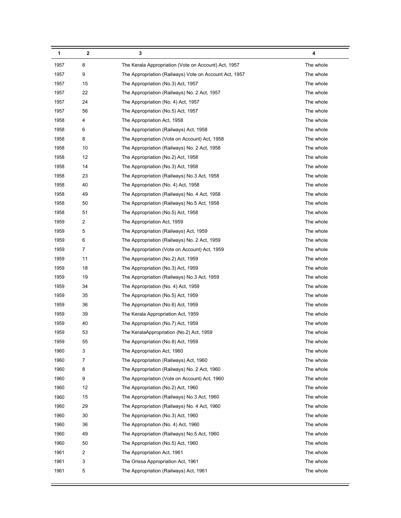| 1    | 2  | 3                                                      | 4         |
|------|----|--------------------------------------------------------|-----------|
| 1957 | 8  | The Kerala Appropriation (Vote on Account) Act, 1957   | The whole |
| 1957 | 9  | The Appropriation (Railways) Vote on Account Act, 1957 | The whole |
| 1957 | 15 | The Appropriation (No.3) Act, 1957                     | The whole |
| 1957 | 22 | The Appropriation (Railways) No. 2 Act, 1957           | The whole |
| 1957 | 24 | The Appropriation (No. 4) Act, 1957                    | The whole |
| 1957 | 56 | The Appropriation (No.5) Act, 1957                     | The whole |
| 1958 | 4  | The Appropriation Act, 1958                            | The whole |
| 1958 | 6  | The Appropriation (Railways) Act, 1958                 | The whole |
| 1958 | 8  | The Appropriation (Vote on Account) Act, 1958          | The whole |
| 1958 | 10 | The Appropriation (Railways) No. 2 Act, 1958           | The whole |
| 1958 | 12 | The Appropriation (No.2) Act, 1958                     | The whole |
| 1958 | 14 | The Appropriation (No.3) Act, 1958                     | The whole |
| 1958 | 23 | The Appropriation (Railways) No.3 Act, 1958            | The whole |
| 1958 | 40 | The Appropriation (No. 4) Act, 1958                    | The whole |
| 1958 | 49 | The Appropriation (Railways) No. 4 Act, 1958           | The whole |
| 1958 | 50 | The Appropriation (Railways) No.5 Act, 1958            | The whole |
| 1958 | 51 | The Appropriation (No.5) Act, 1958                     | The whole |
| 1959 | 2  | The Appropriation Act, 1959                            | The whole |
| 1959 | 5  | The Appropriation (Railways) Act, 1959                 | The whole |
| 1959 | 6  | The Appropriation (Railways) No. 2 Act, 1959           | The whole |
| 1959 | 7  | The Appropriation (Vote on Account) Act, 1959          | The whole |
| 1959 | 11 | The Appropriation (No.2) Act, 1959                     | The whole |
| 1959 | 18 | The Appropriation (No.3) Act, 1959                     | The whole |
| 1959 | 19 | The Appropriation (Railways) No.3 Act, 1959            | The whole |
| 1959 | 34 | The Appropriation (No. 4) Act, 1959                    | The whole |
| 1959 | 35 | The Appropriation (No.5) Act, 1959                     | The whole |
| 1959 | 36 | The Appropriation (No.6) Act, 1959                     | The whole |
| 1959 | 39 | The Kerala Appropriation Act, 1959                     | The whole |
| 1959 | 40 | The Appropriation (No.7) Act, 1959                     | The whole |
| 1959 | 53 | The KeralaAppropriation (No.2) Act, 1959               | The whole |
| 1959 | 55 | The Appropriation (No.8) Act, 1959                     | The whole |
| 1960 | 3  | The Appropriation Act, 1960                            | The whole |
| 1960 | 7  | The Appropriation (Railways) Act, 1960                 | The whole |
| 1960 | 8  | The Appropriation (Railways) No. 2 Act, 1960           | The whole |
| 1960 | 9  | The Appropriation (Vote on Account) Act, 1960          | The whole |
| 1960 | 12 | The Appropriation (No.2) Act, 1960                     | The whole |
| 1960 | 15 | The Appropriation (Railways) No.3 Act, 1960            | The whole |
| 1960 | 29 | The Appropriation (Railways) No. 4 Act, 1960           | The whole |
| 1960 | 30 | The Appropriation (No.3) Act, 1960                     | The whole |
| 1960 | 36 | The Appropriation (No. 4) Act, 1960                    | The whole |
| 1960 | 49 | The Appropriation (Railways) No.5 Act, 1960            | The whole |
| 1960 | 50 | The Appropriation (No.5) Act, 1960                     | The whole |
| 1961 | 2  | The Appropriation Act, 1961                            | The whole |
| 1961 | 3  | The Orissa Appropriation Act, 1961                     | The whole |
| 1961 | 5  | The Appropriation (Railways) Act, 1961                 | The whole |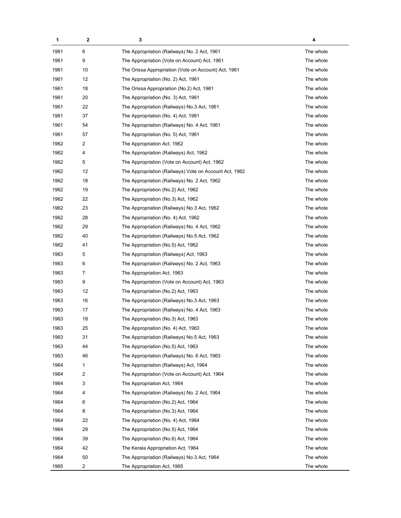| 1    | 2  | 3                                                      | 4         |
|------|----|--------------------------------------------------------|-----------|
| 1961 | 6  | The Appropriation (Railways) No. 2 Act, 1961           | The whole |
| 1961 | 9  | The Appropriation (Vote on Account) Act, 1961          | The whole |
| 1961 | 10 | The Orissa Appropriation (Vote on Account) Act, 1961   | The whole |
| 1961 | 12 | The Appropriation (No. 2) Act, 1961                    | The whole |
| 1961 | 18 | The Orissa Appropriation (No.2) Act, 1961              | The whole |
| 1961 | 20 | The Appropriation (No. 3) Act, 1961                    | The whole |
| 1961 | 22 | The Appropriation (Railways) No.3 Act, 1961            | The whole |
| 1961 | 37 | The Appropriation (No. 4) Act, 1961                    | The whole |
| 1961 | 54 | The Appropriation (Railways) No. 4 Act, 1961           | The whole |
| 1961 | 57 | The Appropriation (No. 5) Act, 1961                    | The whole |
| 1962 | 2  | The Appropriation Act, 1962                            | The whole |
| 1962 | 4  | The Appropriation (Railways) Act, 1962                 | The whole |
| 1962 | 5  | The Appropriation (Vote on Account) Act, 1962          | The whole |
| 1962 | 12 | The Appropriation (Railways) Vote on Account Act, 1962 | The whole |
| 1962 | 18 | The Appropriation (Railways) No. 2 Act, 1962           | The whole |
| 1962 | 19 | The Appropriation (No.2) Act, 1962                     | The whole |
| 1962 | 22 | The Appropriation (No.3) Act, 1962                     | The whole |
| 1962 | 23 | The Appropriation (Railways) No.3 Act, 1962            | The whole |
| 1962 | 28 | The Appropriation (No. 4) Act, 1962                    | The whole |
| 1962 | 29 | The Appropriation (Railways) No. 4 Act, 1962           | The whole |
| 1962 | 40 | The Appropriation (Railways) No.5 Act, 1962            | The whole |
| 1962 | 41 | The Appropriation (No.5) Act, 1962                     | The whole |
| 1963 | 5  | The Appropriation (Railways) Act, 1963                 | The whole |
| 1963 | 6  | The Appropriation (Railways) No. 2 Act, 1963           | The whole |
| 1963 | 7  | The Appropriation Act, 1963                            | The whole |
| 1963 | 9  | The Appropriation (Vote on Account) Act, 1963          | The whole |
| 1963 | 12 | The Appropriation (No.2) Act, 1963                     | The whole |
| 1963 | 16 | The Appropriation (Railways) No.3 Act, 1963            | The whole |
| 1963 | 17 | The Appropriation (Railways) No. 4 Act, 1963           | The whole |
| 1963 | 18 | The Appropriation (No.3) Act, 1963                     | The whole |
| 1963 | 25 | The Appropriation (No. 4) Act, 1963                    | The whole |
| 1963 | 31 | The Appropriation (Railways) No.5 Act, 1963            | The whole |
| 1963 | 44 | The Appropriation (No.5) Act, 1963                     | The whole |
| 1963 | 46 | The Appropriation (Railways) No. 6 Act, 1963           | The whole |
| 1964 | 1  | The Appropriation (Railways) Act, 1964                 | The whole |
| 1964 | 2  | The Appropriation (Vote on Account) Act, 1964          | The whole |
| 1964 | 3  | The Appropriation Act, 1964                            | The whole |
| 1964 | 4  | The Appropriation (Railways) No. 2 Act, 1964           | The whole |
| 1964 | 6  | The Appropriation (No.2) Act, 1964                     | The whole |
| 1964 | 8  | The Appropriation (No.3) Act, 1964                     | The whole |
| 1964 | 22 | The Appropriation (No. 4) Act, 1964                    | The whole |
| 1964 | 29 | The Appropriation (No.5) Act, 1964                     | The whole |
| 1964 | 39 | The Appropriation (No.6) Act, 1964                     | The whole |
| 1964 | 42 | The Kerala Appropriation Act, 1964                     | The whole |
| 1964 | 50 | The Appropriation (Railways) No.3 Act, 1964            | The whole |
| 1965 | 2  | The Appropriation Act, 1965                            | The whole |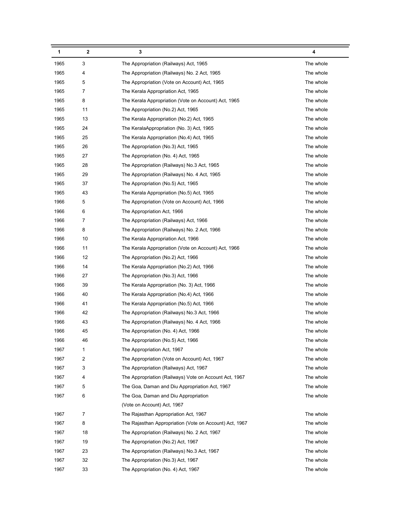| 1    | 2  | 3                                                       | 4         |
|------|----|---------------------------------------------------------|-----------|
| 1965 | 3  | The Appropriation (Railways) Act, 1965                  | The whole |
| 1965 | 4  | The Appropriation (Railways) No. 2 Act, 1965            | The whole |
| 1965 | 5  | The Appropriation (Vote on Account) Act, 1965           | The whole |
| 1965 | 7  | The Kerala Appropriation Act, 1965                      | The whole |
| 1965 | 8  | The Kerala Appropriation (Vote on Account) Act, 1965    | The whole |
| 1965 | 11 | The Appropriation (No.2) Act, 1965                      | The whole |
| 1965 | 13 | The Kerala Appropriation (No.2) Act, 1965               | The whole |
| 1965 | 24 | The KeralaAppropriation (No. 3) Act, 1965               | The whole |
| 1965 | 25 | The Kerala Appropriation (No.4) Act, 1965               | The whole |
| 1965 | 26 | The Appropriation (No.3) Act, 1965                      | The whole |
| 1965 | 27 | The Appropriation (No. 4) Act, 1965                     | The whole |
| 1965 | 28 | The Appropriation (Railways) No.3 Act, 1965             | The whole |
| 1965 | 29 | The Appropriation (Railways) No. 4 Act, 1965            | The whole |
| 1965 | 37 | The Appropriation (No.5) Act, 1965                      | The whole |
| 1965 | 43 | The Kerala Appropriation (No.5) Act, 1965               | The whole |
| 1966 | 5  | The Appropriation (Vote on Account) Act, 1966           | The whole |
| 1966 | 6  | The Appropriation Act, 1966                             | The whole |
| 1966 | 7  | The Appropriation (Railways) Act, 1966                  | The whole |
| 1966 | 8  | The Appropriation (Railways) No. 2 Act, 1966            | The whole |
| 1966 | 10 | The Kerala Appropriation Act, 1966                      | The whole |
| 1966 | 11 | The Kerala Appropriation (Vote on Account) Act, 1966    | The whole |
| 1966 | 12 | The Appropriation (No.2) Act, 1966                      | The whole |
| 1966 | 14 | The Kerala Appropriation (No.2) Act, 1966               | The whole |
| 1966 | 27 | The Appropriation (No.3) Act, 1966                      | The whole |
| 1966 | 39 | The Kerala Appropriation (No. 3) Act, 1966              | The whole |
| 1966 | 40 | The Kerala Appropriation (No.4) Act, 1966               | The whole |
| 1966 | 41 | The Kerala Appropriation (No.5) Act, 1966               | The whole |
| 1966 | 42 | The Appropriation (Railways) No.3 Act, 1966             | The whole |
| 1966 | 43 | The Appropriation (Railways) No. 4 Act, 1966            | The whole |
| 1966 | 45 | The Appropriation (No. 4) Act, 1966                     | The whole |
| 1966 | 46 | The Appropriation (No.5) Act, 1966                      | The whole |
| 1967 | 1  | The Appropriation Act, 1967                             | The whole |
| 1967 | 2  | The Appropriation (Vote on Account) Act, 1967           | The whole |
| 1967 | 3  | The Appropriation (Railways) Act, 1967                  | The whole |
| 1967 | 4  | The Appropriation (Railways) Vote on Account Act, 1967  | The whole |
| 1967 | 5  | The Goa, Daman and Diu Appropriation Act, 1967          | The whole |
| 1967 | 6  | The Goa, Daman and Diu Appropriation                    | The whole |
|      |    | (Vote on Account) Act, 1967                             |           |
| 1967 | 7  | The Rajasthan Appropriation Act, 1967                   | The whole |
| 1967 | 8  | The Rajasthan Appropriation (Vote on Account) Act, 1967 | The whole |
| 1967 | 18 | The Appropriation (Railways) No. 2 Act, 1967            | The whole |
| 1967 | 19 | The Appropriation (No.2) Act, 1967                      | The whole |
| 1967 | 23 | The Appropriation (Railways) No.3 Act, 1967             | The whole |
| 1967 | 32 | The Appropriation (No.3) Act, 1967                      | The whole |
| 1967 | 33 | The Appropriation (No. 4) Act, 1967                     | The whole |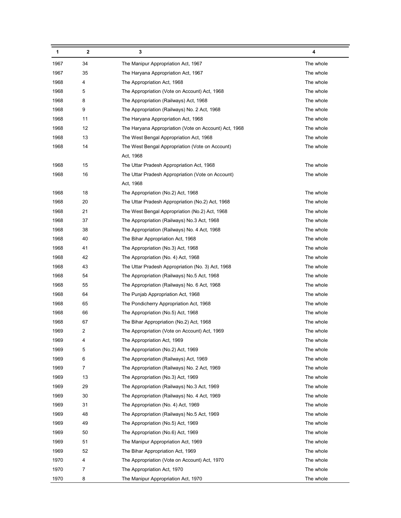| 1    | 2  | 3                                                     | 4         |
|------|----|-------------------------------------------------------|-----------|
| 1967 | 34 | The Manipur Appropriation Act, 1967                   | The whole |
| 1967 | 35 | The Haryana Appropriation Act, 1967                   | The whole |
| 1968 | 4  | The Appropriation Act, 1968                           | The whole |
| 1968 | 5  | The Appropriation (Vote on Account) Act, 1968         | The whole |
| 1968 | 8  | The Appropriation (Railways) Act, 1968                | The whole |
| 1968 | 9  | The Appropriation (Railways) No. 2 Act, 1968          | The whole |
| 1968 | 11 | The Haryana Appropriation Act, 1968                   | The whole |
| 1968 | 12 | The Haryana Appropriation (Vote on Account) Act, 1968 | The whole |
| 1968 | 13 | The West Bengal Appropriation Act, 1968               | The whole |
| 1968 | 14 | The West Bengal Appropriation (Vote on Account)       | The whole |
|      |    | Act, 1968                                             |           |
| 1968 | 15 | The Uttar Pradesh Appropriation Act, 1968             | The whole |
| 1968 | 16 | The Uttar Pradesh Appropriation (Vote on Account)     | The whole |
|      |    | Act, 1968                                             |           |
| 1968 | 18 | The Appropriation (No.2) Act, 1968                    | The whole |
| 1968 | 20 | The Uttar Pradesh Appropriation (No.2) Act, 1968      | The whole |
| 1968 | 21 | The West Bengal Appropriation (No.2) Act, 1968        | The whole |
| 1968 | 37 | The Appropriation (Railways) No.3 Act, 1968           | The whole |
| 1968 | 38 | The Appropriation (Railways) No. 4 Act, 1968          | The whole |
| 1968 | 40 | The Bihar Appropriation Act, 1968                     | The whole |
| 1968 | 41 | The Appropriation (No.3) Act, 1968                    | The whole |
| 1968 | 42 | The Appropriation (No. 4) Act, 1968                   | The whole |
| 1968 | 43 | The Uttar Pradesh Appropriation (No. 3) Act, 1968     | The whole |
| 1968 | 54 | The Appropriation (Railways) No.5 Act, 1968           | The whole |
| 1968 | 55 | The Appropriation (Railways) No. 6 Act, 1968          | The whole |
| 1968 | 64 | The Punjab Appropriation Act, 1968                    | The whole |
| 1968 | 65 | The Pondicherry Appropriation Act, 1968               | The whole |
| 1968 | 66 | The Appropriation (No.5) Act, 1968                    | The whole |
| 1968 | 67 | The Bihar Appropriation (No.2) Act, 1968              | The whole |
| 1969 | 2  | The Appropriation (Vote on Account) Act, 1969         | The whole |
| 1969 | 4  | The Appropriation Act, 1969                           | The whole |
| 1969 | 5  | The Appropriation (No.2) Act, 1969                    | The whole |
| 1969 | 6  | The Appropriation (Railways) Act, 1969                | The whole |
| 1969 | 7  | The Appropriation (Railways) No. 2 Act, 1969          | The whole |
| 1969 | 13 | The Appropriation (No.3) Act, 1969                    | The whole |
| 1969 | 29 | The Appropriation (Railways) No.3 Act, 1969           | The whole |
| 1969 | 30 | The Appropriation (Railways) No. 4 Act, 1969          | The whole |
| 1969 | 31 | The Appropriation (No. 4) Act, 1969                   | The whole |
| 1969 | 48 | The Appropriation (Railways) No.5 Act, 1969           | The whole |
| 1969 | 49 | The Appropriation (No.5) Act, 1969                    | The whole |
| 1969 | 50 | The Appropriation (No.6) Act, 1969                    | The whole |
| 1969 | 51 | The Manipur Appropriation Act, 1969                   | The whole |
| 1969 | 52 | The Bihar Appropriation Act, 1969                     | The whole |
| 1970 | 4  | The Appropriation (Vote on Account) Act, 1970         | The whole |
| 1970 | 7  | The Appropriation Act, 1970                           | The whole |
| 1970 | 8  | The Manipur Appropriation Act, 1970                   | The whole |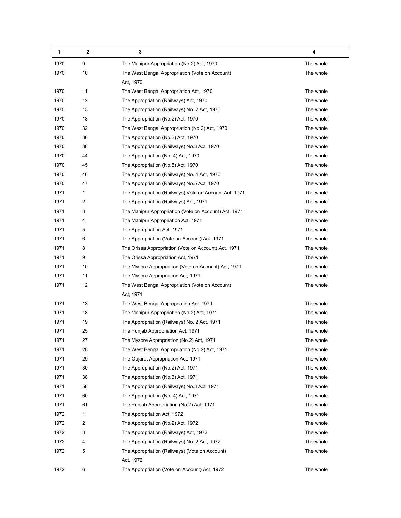| 1    | 2  | 3                                                           | 4         |
|------|----|-------------------------------------------------------------|-----------|
| 1970 | 9  | The Manipur Appropriation (No.2) Act, 1970                  | The whole |
| 1970 | 10 | The West Bengal Appropriation (Vote on Account)             | The whole |
|      |    | Act, 1970                                                   |           |
| 1970 | 11 | The West Bengal Appropriation Act, 1970                     | The whole |
| 1970 | 12 | The Appropriation (Railways) Act, 1970                      | The whole |
| 1970 | 13 | The Appropriation (Railways) No. 2 Act, 1970                | The whole |
| 1970 | 18 | The Appropriation (No.2) Act, 1970                          | The whole |
| 1970 | 32 | The West Bengal Appropriation (No.2) Act, 1970              | The whole |
| 1970 | 36 | The Appropriation (No.3) Act, 1970                          | The whole |
| 1970 | 38 | The Appropriation (Railways) No.3 Act, 1970                 | The whole |
| 1970 | 44 | The Appropriation (No. 4) Act, 1970                         | The whole |
| 1970 | 45 | The Appropriation (No.5) Act, 1970                          | The whole |
| 1970 | 46 | The Appropriation (Railways) No. 4 Act, 1970                | The whole |
| 1970 | 47 | The Appropriation (Railways) No.5 Act, 1970                 | The whole |
| 1971 | 1  | The Appropriation (Railways) Vote on Account Act, 1971      | The whole |
| 1971 | 2  | The Appropriation (Railways) Act, 1971                      | The whole |
| 1971 | 3  | The Manipur Appropriation (Vote on Account) Act, 1971       | The whole |
| 1971 | 4  | The Manipur Appropriation Act, 1971                         | The whole |
| 1971 | 5  | The Appropriation Act, 1971                                 | The whole |
| 1971 | 6  | The Appropriation (Vote on Account) Act, 1971               | The whole |
| 1971 | 8  | The Orissa Appropriation (Vote on Account) Act, 1971        | The whole |
| 1971 | 9  | The Orissa Appropriation Act, 1971                          | The whole |
| 1971 | 10 | The Mysore Appropriation (Vote on Account) Act, 1971        | The whole |
| 1971 | 11 | The Mysore Appropriation Act, 1971                          | The whole |
| 1971 | 12 | The West Bengal Appropriation (Vote on Account)             | The whole |
|      |    | Act, 1971                                                   |           |
| 1971 | 13 | The West Bengal Appropriation Act, 1971                     | The whole |
| 1971 | 18 | The Manipur Appropriation (No.2) Act, 1971                  | The whole |
| 1971 | 19 | The Appropriation (Railways) No. 2 Act, 1971                | The whole |
| 1971 | 25 | The Punjab Appropriation Act, 1971                          | The whole |
| 1971 | 27 | The Mysore Appropriation (No.2) Act, 1971                   | The whole |
| 1971 | 28 | The West Bengal Appropriation (No.2) Act, 1971              | The whole |
| 1971 | 29 | The Gujarat Appropriation Act, 1971                         | The whole |
| 1971 | 30 | The Appropriation (No.2) Act, 1971                          | The whole |
| 1971 | 38 | The Appropriation (No.3) Act, 1971                          | The whole |
| 1971 | 58 | The Appropriation (Railways) No.3 Act, 1971                 | The whole |
| 1971 | 60 | The Appropriation (No. 4) Act, 1971                         | The whole |
| 1971 | 61 | The Punjab Appropriation (No.2) Act, 1971                   | The whole |
| 1972 | 1  | The Appropriation Act, 1972                                 | The whole |
| 1972 | 2  | The Appropriation (No.2) Act, 1972                          | The whole |
| 1972 | 3  | The Appropriation (Railways) Act, 1972                      | The whole |
| 1972 | 4  | The Appropriation (Railways) No. 2 Act, 1972                | The whole |
| 1972 | 5  | The Appropriation (Railways) (Vote on Account)<br>Act, 1972 | The whole |
| 1972 | 6  | The Appropriation (Vote on Account) Act, 1972               | The whole |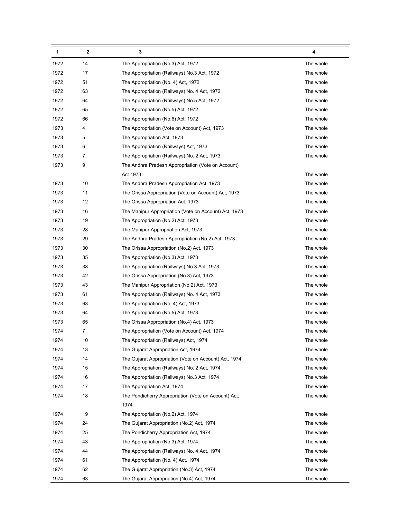| 1    | $\mathbf 2$    | 3                                                     | 4         |
|------|----------------|-------------------------------------------------------|-----------|
| 1972 | 14             | The Appropriation (No.3) Act, 1972                    | The whole |
| 1972 | 17             | The Appropriation (Railways) No.3 Act, 1972           | The whole |
| 1972 | 51             | The Appropriation (No. 4) Act, 1972                   | The whole |
| 1972 | 63             | The Appropriation (Railways) No. 4 Act, 1972          | The whole |
| 1972 | 64             | The Appropriation (Railways) No.5 Act, 1972           | The whole |
| 1972 | 65             | The Appropriation (No.5) Act, 1972                    | The whole |
| 1972 | 66             | The Appropriation (No.6) Act, 1972                    | The whole |
| 1973 | 4              | The Appropriation (Vote on Account) Act, 1973         | The whole |
| 1973 | 5              | The Appropriation Act, 1973                           | The whole |
| 1973 | 6              | The Appropriation (Railways) Act, 1973                | The whole |
| 1973 | 7              | The Appropriation (Railways) No. 2 Act, 1973          | The whole |
| 1973 | 9              | The Andhra Pradesh Appropriation (Vote on Account)    |           |
|      |                | Act 1973                                              | The whole |
| 1973 | 10             | The Andhra Pradesh Appropriation Act, 1973            | The whole |
| 1973 | 11             | The Orissa Appropriation (Vote on Account) Act, 1973  | The whole |
| 1973 | 12             | The Orissa Appropriation Act, 1973                    | The whole |
| 1973 | 16             | The Manipur Appropriation (Vote on Account) Act, 1973 | The whole |
| 1973 | 19             | The Appropriation (No.2) Act, 1973                    | The whole |
| 1973 | 28             | The Manipur Appropriation Act, 1973                   | The whole |
| 1973 | 29             | The Andhra Pradesh Appropriation (No.2) Act, 1973     | The whole |
| 1973 | 30             | The Orissa Appropriation (No.2) Act, 1973             | The whole |
| 1973 | 35             | The Appropriation (No.3) Act, 1973                    | The whole |
| 1973 | 38             | The Appropriation (Railways) No.3 Act, 1973           | The whole |
| 1973 | 42             | The Orissa Appropriation (No.3) Act, 1973             | The whole |
| 1973 | 43             | The Manipur Appropriation (No.2) Act, 1973            | The whole |
| 1973 | 61             | The Appropriation (Railways) No. 4 Act, 1973          | The whole |
| 1973 | 63             | The Appropriation (No. 4) Act, 1973                   | The whole |
| 1973 | 64             | The Appropriation (No.5) Act, 1973                    | The whole |
| 1973 | 65             | The Orissa Appropriation (No.4) Act, 1973             | The whole |
| 1974 | $\overline{7}$ | The Appropriation (Vote on Account) Act, 1974         | The whole |
| 1974 | 10             | The Appropriation (Railways) Act, 1974                | The whole |
| 1974 | 13             | The Gujarat Appropriation Act, 1974                   | The whole |
| 1974 | 14             | The Gujarat Appropriation (Vote on Account) Act, 1974 | The whole |
| 1974 | 15             | The Appropriation (Railways) No. 2 Act, 1974          | The whole |
| 1974 | 16             | The Appropriation (Railways) No.3 Act, 1974           | The whole |
| 1974 | 17             | The Appropriation Act, 1974                           | The whole |
| 1974 | 18             | The Pondicherry Appropriation (Vote on Account) Act,  | The whole |
|      |                | 1974                                                  |           |
| 1974 | 19             | The Appropriation (No.2) Act, 1974                    | The whole |
| 1974 | 24             | The Gujarat Appropriation (No.2) Act, 1974            | The whole |
| 1974 | 25             | The Pondicherry Appropriation Act, 1974               | The whole |
| 1974 | 43             | The Appropriation (No.3) Act, 1974                    | The whole |
| 1974 | 44             | The Appropriation (Railways) No. 4 Act, 1974          | The whole |
| 1974 | 61             | The Appropriation (No. 4) Act, 1974                   | The whole |
| 1974 | 62             | The Gujarat Appropriation (No.3) Act, 1974            | The whole |
| 1974 | 63             | The Gujarat Appropriation (No.4) Act, 1974            | The whole |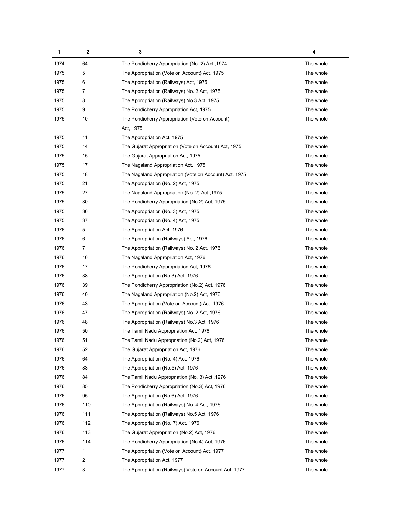| 1    | 2   | 3                                                      | 4         |
|------|-----|--------------------------------------------------------|-----------|
| 1974 | 64  | The Pondicherry Appropriation (No. 2) Act, 1974        | The whole |
| 1975 | 5   | The Appropriation (Vote on Account) Act, 1975          | The whole |
| 1975 | 6   | The Appropriation (Railways) Act, 1975                 | The whole |
| 1975 | 7   | The Appropriation (Railways) No. 2 Act, 1975           | The whole |
| 1975 | 8   | The Appropriation (Railways) No.3 Act, 1975            | The whole |
| 1975 | 9   | The Pondicherry Appropriation Act, 1975                | The whole |
| 1975 | 10  | The Pondicherry Appropriation (Vote on Account)        | The whole |
|      |     | Act, 1975                                              |           |
| 1975 | 11  | The Appropriation Act, 1975                            | The whole |
| 1975 | 14  | The Gujarat Appropriation (Vote on Account) Act, 1975  | The whole |
| 1975 | 15  | The Gujarat Appropriation Act, 1975                    | The whole |
| 1975 | 17  | The Nagaland Appropriation Act, 1975                   | The whole |
| 1975 | 18  | The Nagaland Appropriation (Vote on Account) Act, 1975 | The whole |
| 1975 | 21  | The Appropriation (No. 2) Act, 1975                    | The whole |
| 1975 | 27  | The Nagaland Appropriation (No. 2) Act, 1975           | The whole |
| 1975 | 30  | The Pondicherry Appropriation (No.2) Act, 1975         | The whole |
| 1975 | 36  | The Appropriation (No. 3) Act, 1975                    | The whole |
| 1975 | 37  | The Appropriation (No. 4) Act, 1975                    | The whole |
| 1976 | 5   | The Appropriation Act, 1976                            | The whole |
| 1976 | 6   | The Appropriation (Railways) Act, 1976                 | The whole |
| 1976 | 7   | The Appropriation (Railways) No. 2 Act, 1976           | The whole |
| 1976 | 16  | The Nagaland Appropriation Act, 1976                   | The whole |
| 1976 | 17  | The Pondicherry Appropriation Act, 1976                | The whole |
| 1976 | 38  | The Appropriation (No.3) Act, 1976                     | The whole |
| 1976 | 39  | The Pondicherry Appropriation (No.2) Act, 1976         | The whole |
| 1976 | 40  | The Nagaland Appropriation (No.2) Act, 1976            | The whole |
| 1976 | 43  | The Appropriation (Vote on Account) Act, 1976          | The whole |
| 1976 | 47  | The Appropriation (Railways) No. 2 Act, 1976           | The whole |
| 1976 | 48  | The Appropriation (Railways) No.3 Act, 1976            | The whole |
| 1976 | 50  | The Tamil Nadu Appropriation Act, 1976                 | The whole |
| 1976 | 51  | The Tamil Nadu Appropriation (No.2) Act, 1976          | The whole |
| 1976 | 52  | The Gujarat Appropriation Act, 1976                    | The whole |
| 1976 | 64  | The Appropriation (No. 4) Act, 1976                    | The whole |
| 1976 | 83  | The Appropriation (No.5) Act, 1976                     | The whole |
| 1976 | 84  | The Tamil Nadu Appropriation (No. 3) Act, 1976         | The whole |
| 1976 | 85  | The Pondicherry Appropriation (No.3) Act, 1976         | The whole |
| 1976 | 95  | The Appropriation (No.6) Act, 1976                     | The whole |
| 1976 | 110 | The Appropriation (Railways) No. 4 Act, 1976           | The whole |
| 1976 | 111 | The Appropriation (Railways) No.5 Act, 1976            | The whole |
| 1976 | 112 | The Appropriation (No. 7) Act, 1976                    | The whole |
| 1976 | 113 | The Gujarat Appropriation (No.2) Act, 1976             | The whole |
| 1976 | 114 | The Pondicherry Appropriation (No.4) Act, 1976         | The whole |
| 1977 | 1   | The Appropriation (Vote on Account) Act, 1977          | The whole |
| 1977 | 2   | The Appropriation Act, 1977                            | The whole |
| 1977 | 3   | The Appropriation (Railways) Vote on Account Act, 1977 | The whole |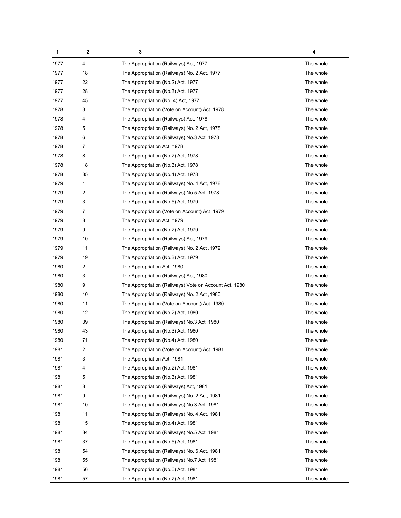| 1    | 2  | 3                                                      | 4         |
|------|----|--------------------------------------------------------|-----------|
| 1977 | 4  | The Appropriation (Railways) Act, 1977                 | The whole |
| 1977 | 18 | The Appropriation (Railways) No. 2 Act, 1977           | The whole |
| 1977 | 22 | The Appropriation (No.2) Act, 1977                     | The whole |
| 1977 | 28 | The Appropriation (No.3) Act, 1977                     | The whole |
| 1977 | 45 | The Appropriation (No. 4) Act, 1977                    | The whole |
| 1978 | 3  | The Appropriation (Vote on Account) Act, 1978          | The whole |
| 1978 | 4  | The Appropriation (Railways) Act, 1978                 | The whole |
| 1978 | 5  | The Appropriation (Railways) No. 2 Act, 1978           | The whole |
| 1978 | 6  | The Appropriation (Railways) No.3 Act, 1978            | The whole |
| 1978 | 7  | The Appropriation Act, 1978                            | The whole |
| 1978 | 8  | The Appropriation (No.2) Act, 1978                     | The whole |
| 1978 | 18 | The Appropriation (No.3) Act, 1978                     | The whole |
| 1978 | 35 | The Appropriation (No.4) Act, 1978                     | The whole |
| 1979 | 1  | The Appropriation (Railways) No. 4 Act, 1978           | The whole |
| 1979 | 2  | The Appropriation (Railways) No.5 Act, 1978            | The whole |
| 1979 | 3  | The Appropriation (No.5) Act, 1979                     | The whole |
| 1979 | 7  | The Appropriation (Vote on Account) Act, 1979          | The whole |
| 1979 | 8  | The Appropriation Act, 1979                            | The whole |
| 1979 | 9  | The Appropriation (No.2) Act, 1979                     | The whole |
| 1979 | 10 | The Appropriation (Railways) Act, 1979                 | The whole |
| 1979 | 11 | The Appropriation (Railways) No. 2 Act, 1979           | The whole |
| 1979 | 19 | The Appropriation (No.3) Act, 1979                     | The whole |
| 1980 | 2  | The Appropriation Act, 1980                            | The whole |
| 1980 | 3  | The Appropriation (Railways) Act, 1980                 | The whole |
| 1980 | 9  | The Appropriation (Railways) Vote on Account Act, 1980 | The whole |
| 1980 | 10 | The Appropriation (Railways) No. 2 Act ,1980           | The whole |
| 1980 | 11 | The Appropriation (Vote on Account) Act, 1980          | The whole |
| 1980 | 12 | The Appropriation (No.2) Act, 1980                     | The whole |
| 1980 | 39 | The Appropriation (Railways) No.3 Act, 1980            | The whole |
| 1980 | 43 | The Appropriation (No.3) Act, 1980                     | The whole |
| 1980 | 71 | The Appropriation (No.4) Act, 1980                     | The whole |
| 1981 | 2  | The Appropriation (Vote on Account) Act, 1981          | The whole |
| 1981 | 3  | The Appropriation Act, 1981                            | The whole |
| 1981 | 4  | The Appropriation (No.2) Act, 1981                     | The whole |
| 1981 | 5  | The Appropriation (No.3) Act, 1981                     | The whole |
| 1981 | 8  | The Appropriation (Railways) Act, 1981                 | The whole |
| 1981 | 9  | The Appropriation (Railways) No. 2 Act, 1981           | The whole |
| 1981 | 10 | The Appropriation (Railways) No.3 Act, 1981            | The whole |
| 1981 | 11 | The Appropriation (Railways) No. 4 Act, 1981           | The whole |
| 1981 | 15 | The Appropriation (No.4) Act, 1981                     | The whole |
| 1981 | 34 | The Appropriation (Railways) No.5 Act, 1981            | The whole |
| 1981 | 37 | The Appropriation (No.5) Act, 1981                     | The whole |
| 1981 | 54 | The Appropriation (Railways) No. 6 Act, 1981           | The whole |
| 1981 | 55 | The Appropriation (Railways) No.7 Act, 1981            | The whole |
| 1981 | 56 | The Appropriation (No.6) Act, 1981                     | The whole |
| 1981 | 57 | The Appropriation (No.7) Act, 1981                     | The whole |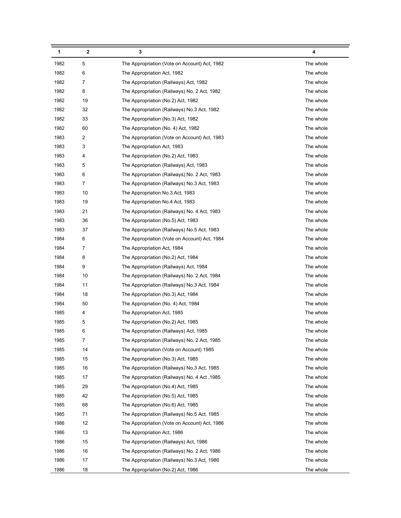| 1    | 2  | 3                                             | 4         |
|------|----|-----------------------------------------------|-----------|
| 1982 | 5  | The Appropriation (Vote on Account) Act, 1982 | The whole |
| 1982 | 6  | The Appropriation Act, 1982                   | The whole |
| 1982 | 7  | The Appropriation (Railways) Act, 1982        | The whole |
| 1982 | 8  | The Appropriation (Railways) No. 2 Act, 1982  | The whole |
| 1982 | 19 | The Appropriation (No.2) Act, 1982            | The whole |
| 1982 | 32 | The Appropriation (Railways) No.3 Act, 1982   | The whole |
| 1982 | 33 | The Appropriation (No.3) Act, 1982            | The whole |
| 1982 | 60 | The Appropriation (No. 4) Act, 1982           | The whole |
| 1983 | 2  | The Appropriation (Vote on Account) Act, 1983 | The whole |
| 1983 | 3  | The Appropriation Act, 1983                   | The whole |
| 1983 | 4  | The Appropriation (No.2) Act, 1983            | The whole |
| 1983 | 5  | The Appropriation (Railways) Act, 1983        | The whole |
| 1983 | 6  | The Appropriation (Railways) No. 2 Act, 1983  | The whole |
| 1983 | 7  | The Appropriation (Railways) No.3 Act, 1983   | The whole |
| 1983 | 10 | The Appropriation No.3 Act, 1983              | The whole |
| 1983 | 19 | The Appropriation No.4 Act, 1983              | The whole |
| 1983 | 21 | The Appropriation (Railways) No. 4 Act, 1983  | The whole |
| 1983 | 36 | The Appropriation (No.5) Act, 1983            | The whole |
| 1983 | 37 | The Appropriation (Railways) No.5 Act, 1983   | The whole |
| 1984 | 6  | The Appropriation (Vote on Account) Act, 1984 | The whole |
| 1984 | 7  | The Appropriation Act, 1984                   | The whole |
| 1984 | 8  | The Appropriation (No.2) Act, 1984            | The whole |
| 1984 | 9  | The Appropriation (Railways) Act, 1984        | The whole |
| 1984 | 10 | The Appropriation (Railways) No. 2 Act, 1984  | The whole |
| 1984 | 11 | The Appropriation (Railways) No.3 Act, 1984   | The whole |
| 1984 | 18 | The Appropriation (No.3) Act, 1984            | The whole |
| 1984 | 50 | The Appropriation (No. 4) Act, 1984           | The whole |
| 1985 | 4  | The Appropriation Act, 1985                   | The whole |
| 1985 | 5  | The Appropriation (No.2) Act, 1985            | The whole |
| 1985 | 6  | The Appropriation (Railways) Act, 1985        | The whole |
| 1985 | T  | The Appropriation (Railways) No. 2 Act, 1985  | The whole |
| 1985 | 14 | The Appropriation (Vote on Account) 1985      | The whole |
| 1985 | 15 | The Appropriation (No.3) Act, 1985            | The whole |
| 1985 | 16 | The Appropriation (Railways) No.3 Act, 1985   | The whole |
| 1985 | 17 | The Appropriation (Railways) No. 4 Act, 1985  | The whole |
| 1985 | 29 | The Appropriation (No.4) Act, 1985            | The whole |
| 1985 | 42 | The Appropriation (No.5) Act, 1985            | The whole |
| 1985 | 68 | The Appropriation (No.6) Act, 1985            | The whole |
| 1985 | 71 | The Appropriation (Railways) No.5 Act, 1985   | The whole |
| 1986 | 12 | The Appropriation (Vote on Account) Act, 1986 | The whole |
| 1986 | 13 | The Appropriation Act, 1986                   | The whole |
| 1986 | 15 | The Appropriation (Railways) Act, 1986        | The whole |
| 1986 | 16 | The Appropriation (Railways) No. 2 Act, 1986  | The whole |
| 1986 | 17 | The Appropriation (Railways) No.3 Act, 1986   | The whole |
| 1986 | 18 | The Appropriation (No.2) Act, 1986            | The whole |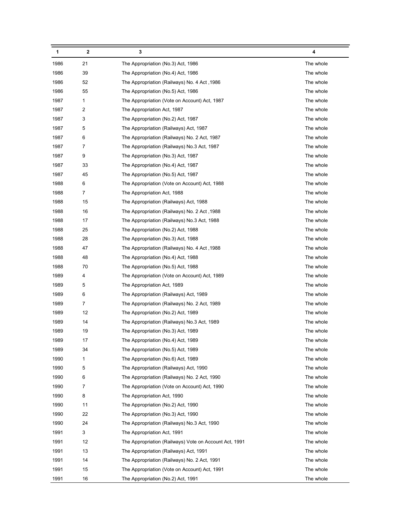| 1    | 2  | 3                                                      | 4         |
|------|----|--------------------------------------------------------|-----------|
| 1986 | 21 | The Appropriation (No.3) Act, 1986                     | The whole |
| 1986 | 39 | The Appropriation (No.4) Act, 1986                     | The whole |
| 1986 | 52 | The Appropriation (Railways) No. 4 Act, 1986           | The whole |
| 1986 | 55 | The Appropriation (No.5) Act, 1986                     | The whole |
| 1987 | 1  | The Appropriation (Vote on Account) Act, 1987          | The whole |
| 1987 | 2  | The Appropriation Act, 1987                            | The whole |
| 1987 | 3  | The Appropriation (No.2) Act, 1987                     | The whole |
| 1987 | 5  | The Appropriation (Railways) Act, 1987                 | The whole |
| 1987 | 6  | The Appropriation (Railways) No. 2 Act, 1987           | The whole |
| 1987 | 7  | The Appropriation (Railways) No.3 Act, 1987            | The whole |
| 1987 | 9  | The Appropriation (No.3) Act, 1987                     | The whole |
| 1987 | 33 | The Appropriation (No.4) Act, 1987                     | The whole |
| 1987 | 45 | The Appropriation (No.5) Act, 1987                     | The whole |
| 1988 | 6  | The Appropriation (Vote on Account) Act, 1988          | The whole |
| 1988 | 7  | The Appropriation Act, 1988                            | The whole |
| 1988 | 15 | The Appropriation (Railways) Act, 1988                 | The whole |
| 1988 | 16 | The Appropriation (Railways) No. 2 Act, 1988           | The whole |
| 1988 | 17 | The Appropriation (Railways) No.3 Act, 1988            | The whole |
| 1988 | 25 | The Appropriation (No.2) Act, 1988                     | The whole |
| 1988 | 28 | The Appropriation (No.3) Act, 1988                     | The whole |
| 1988 | 47 | The Appropriation (Railways) No. 4 Act, 1988           | The whole |
| 1988 | 48 | The Appropriation (No.4) Act, 1988                     | The whole |
| 1988 | 70 | The Appropriation (No.5) Act, 1988                     | The whole |
| 1989 | 4  | The Appropriation (Vote on Account) Act, 1989          | The whole |
| 1989 | 5  | The Appropriation Act, 1989                            | The whole |
| 1989 | 6  | The Appropriation (Railways) Act, 1989                 | The whole |
| 1989 | 7  | The Appropriation (Railways) No. 2 Act, 1989           | The whole |
| 1989 | 12 | The Appropriation (No.2) Act, 1989                     | The whole |
| 1989 | 14 | The Appropriation (Railways) No.3 Act, 1989            | The whole |
| 1989 | 19 | The Appropriation (No.3) Act, 1989                     | The whole |
| 1989 | 17 | The Appropriation (No.4) Act, 1989                     | The whole |
| 1989 | 34 | The Appropriation (No.5) Act, 1989                     | The whole |
| 1990 | 1  | The Appropriation (No.6) Act, 1989                     | The whole |
| 1990 | 5  | The Appropriation (Railways) Act, 1990                 | The whole |
| 1990 | 6  | The Appropriation (Railways) No. 2 Act, 1990           | The whole |
| 1990 | 7  | The Appropriation (Vote on Account) Act, 1990          | The whole |
| 1990 | 8  | The Appropriation Act, 1990                            | The whole |
| 1990 | 11 | The Appropriation (No.2) Act, 1990                     | The whole |
| 1990 | 22 | The Appropriation (No.3) Act, 1990                     | The whole |
| 1990 | 24 | The Appropriation (Railways) No.3 Act, 1990            | The whole |
| 1991 | 3  | The Appropriation Act, 1991                            | The whole |
| 1991 | 12 | The Appropriation (Railways) Vote on Account Act, 1991 | The whole |
| 1991 | 13 | The Appropriation (Railways) Act, 1991                 | The whole |
| 1991 | 14 | The Appropriation (Railways) No. 2 Act, 1991           | The whole |
| 1991 | 15 | The Appropriation (Vote on Account) Act, 1991          | The whole |
| 1991 | 16 | The Appropriation (No.2) Act, 1991                     | The whole |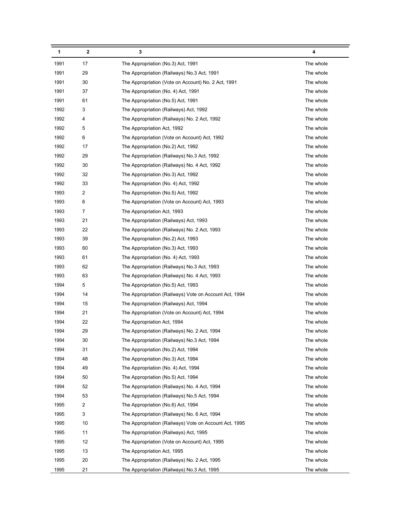| 1    | 2  | 3                                                      | 4         |
|------|----|--------------------------------------------------------|-----------|
| 1991 | 17 | The Appropriation (No.3) Act, 1991                     | The whole |
| 1991 | 29 | The Appropriation (Railways) No.3 Act, 1991            | The whole |
| 1991 | 30 | The Appropriation (Vote on Account) No. 2 Act, 1991    | The whole |
| 1991 | 37 | The Appropriation (No. 4) Act, 1991                    | The whole |
| 1991 | 61 | The Appropriation (No.5) Act, 1991                     | The whole |
| 1992 | 3  | The Appropriation (Railways) Act, 1992                 | The whole |
| 1992 | 4  | The Appropriation (Railways) No. 2 Act, 1992           | The whole |
| 1992 | 5  | The Appropriation Act, 1992                            | The whole |
| 1992 | 6  | The Appropriation (Vote on Account) Act, 1992          | The whole |
| 1992 | 17 | The Appropriation (No.2) Act, 1992                     | The whole |
| 1992 | 29 | The Appropriation (Railways) No.3 Act, 1992            | The whole |
| 1992 | 30 | The Appropriation (Railways) No. 4 Act, 1992           | The whole |
| 1992 | 32 | The Appropriation (No.3) Act, 1992                     | The whole |
| 1992 | 33 | The Appropriation (No. 4) Act, 1992                    | The whole |
| 1993 | 2  | The Appropriation (No.5) Act, 1992                     | The whole |
| 1993 | 6  | The Appropriation (Vote on Account) Act, 1993          | The whole |
| 1993 | 7  | The Appropriation Act, 1993                            | The whole |
| 1993 | 21 | The Appropriation (Railways) Act, 1993                 | The whole |
| 1993 | 22 | The Appropriation (Railways) No. 2 Act, 1993           | The whole |
| 1993 | 39 | The Appropriation (No.2) Act, 1993                     | The whole |
| 1993 | 60 | The Appropriation (No.3) Act, 1993                     | The whole |
| 1993 | 61 | The Appropriation (No. 4) Act, 1993                    | The whole |
| 1993 | 62 | The Appropriation (Railways) No.3 Act, 1993            | The whole |
| 1993 | 63 | The Appropriation (Railways) No. 4 Act, 1993           | The whole |
| 1994 | 5  | The Appropriation (No.5) Act, 1993                     | The whole |
| 1994 | 14 | The Appropriation (Railways) Vote on Account Act, 1994 | The whole |
| 1994 | 15 | The Appropriation (Railways) Act, 1994                 | The whole |
| 1994 | 21 | The Appropriation (Vote on Account) Act, 1994          | The whole |
| 1994 | 22 | The Appropriation Act, 1994                            | The whole |
| 1994 | 29 | The Appropriation (Railways) No. 2 Act, 1994           | The whole |
| 1994 | 30 | The Appropriation (Railways) No.3 Act, 1994            | The whole |
| 1994 | 31 | The Appropriation (No.2) Act, 1994                     | The whole |
| 1994 | 48 | The Appropriation (No.3) Act, 1994                     | The whole |
| 1994 | 49 | The Appropriation (No. 4) Act, 1994                    | The whole |
| 1994 | 50 | The Appropriation (No.5) Act, 1994                     | The whole |
| 1994 | 52 | The Appropriation (Railways) No. 4 Act, 1994           | The whole |
| 1994 | 53 | The Appropriation (Railways) No.5 Act, 1994            | The whole |
| 1995 | 2  | The Appropriation (No.6) Act, 1994                     | The whole |
| 1995 | 3  | The Appropriation (Railways) No. 6 Act, 1994           | The whole |
| 1995 | 10 | The Appropriation (Railways) Vote on Account Act, 1995 | The whole |
| 1995 | 11 | The Appropriation (Railways) Act, 1995                 | The whole |
| 1995 | 12 | The Appropriation (Vote on Account) Act, 1995          | The whole |
| 1995 | 13 | The Appropriation Act, 1995                            | The whole |
| 1995 | 20 | The Appropriation (Railways) No. 2 Act, 1995           | The whole |
| 1995 | 21 | The Appropriation (Railways) No.3 Act, 1995            | The whole |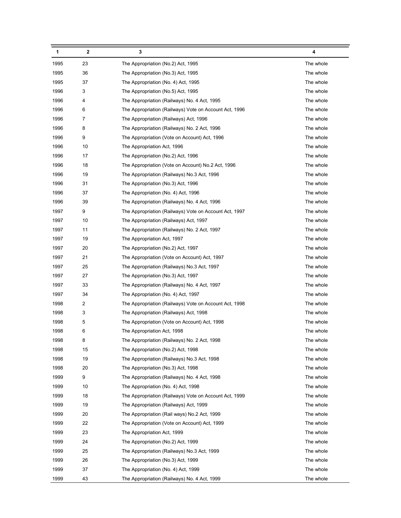| 1    | 2  | 3                                                      | 4         |
|------|----|--------------------------------------------------------|-----------|
| 1995 | 23 | The Appropriation (No.2) Act, 1995                     | The whole |
| 1995 | 36 | The Appropriation (No.3) Act, 1995                     | The whole |
| 1995 | 37 | The Appropriation (No. 4) Act, 1995                    | The whole |
| 1996 | 3  | The Appropriation (No.5) Act, 1995                     | The whole |
| 1996 | 4  | The Appropriation (Railways) No. 4 Act, 1995           | The whole |
| 1996 | 6  | The Appropriation (Railways) Vote on Account Act, 1996 | The whole |
| 1996 | 7  | The Appropriation (Railways) Act, 1996                 | The whole |
| 1996 | 8  | The Appropriation (Railways) No. 2 Act, 1996           | The whole |
| 1996 | 9  | The Appropriation (Vote on Account) Act, 1996          | The whole |
| 1996 | 10 | The Appropriation Act, 1996                            | The whole |
| 1996 | 17 | The Appropriation (No.2) Act, 1996                     | The whole |
| 1996 | 18 | The Appropriation (Vote on Account) No.2 Act, 1996     | The whole |
| 1996 | 19 | The Appropriation (Railways) No.3 Act, 1996            | The whole |
| 1996 | 31 | The Appropriation (No.3) Act, 1996                     | The whole |
| 1996 | 37 | The Appropriation (No. 4) Act, 1996                    | The whole |
| 1996 | 39 | The Appropriation (Railways) No. 4 Act, 1996           | The whole |
| 1997 | 9  | The Appropriation (Railways) Vote on Account Act, 1997 | The whole |
| 1997 | 10 | The Appropriation (Railways) Act, 1997                 | The whole |
| 1997 | 11 | The Appropriation (Railways) No. 2 Act, 1997           | The whole |
| 1997 | 19 | The Appropriation Act, 1997                            | The whole |
| 1997 | 20 | The Appropriation (No.2) Act, 1997                     | The whole |
| 1997 | 21 | The Appropriation (Vote on Account) Act, 1997          | The whole |
| 1997 | 25 | The Appropriation (Railways) No.3 Act, 1997            | The whole |
| 1997 | 27 | The Appropriation (No.3) Act, 1997                     | The whole |
| 1997 | 33 | The Appropriation (Railways) No. 4 Act, 1997           | The whole |
| 1997 | 34 | The Appropriation (No. 4) Act, 1997                    | The whole |
| 1998 | 2  | The Appropriation (Railways) Vote on Account Act, 1998 | The whole |
| 1998 | 3  | The Appropriation (Railways) Act, 1998                 | The whole |
| 1998 | 5  | The Appropriation (Vote on Account) Act, 1998          | The whole |
| 1998 | 6  | The Appropriation Act, 1998                            | The whole |
| 1998 | 8  | The Appropriation (Railways) No. 2 Act, 1998           | The whole |
| 1998 | 15 | The Appropriation (No.2) Act, 1998                     | The whole |
| 1998 | 19 | The Appropriation (Railways) No.3 Act, 1998            | The whole |
| 1998 | 20 | The Appropriation (No.3) Act, 1998                     | The whole |
| 1999 | 9  | The Appropriation (Railways) No. 4 Act, 1998           | The whole |
| 1999 | 10 | The Appropriation (No. 4) Act, 1998                    | The whole |
| 1999 | 18 | The Appropriation (Railways) Vote on Account Act, 1999 | The whole |
| 1999 | 19 | The Appropriation (Railways) Act, 1999                 | The whole |
| 1999 | 20 | The Appropriation (Rail ways) No.2 Act, 1999           | The whole |
| 1999 | 22 | The Appropriation (Vote on Account) Act, 1999          | The whole |
| 1999 | 23 | The Appropriation Act, 1999                            | The whole |
| 1999 | 24 | The Appropriation (No.2) Act, 1999                     | The whole |
| 1999 | 25 | The Appropriation (Railways) No.3 Act, 1999            | The whole |
| 1999 | 26 | The Appropriation (No.3) Act, 1999                     | The whole |
| 1999 | 37 | The Appropriation (No. 4) Act, 1999                    | The whole |
| 1999 | 43 | The Appropriation (Railways) No. 4 Act, 1999           | The whole |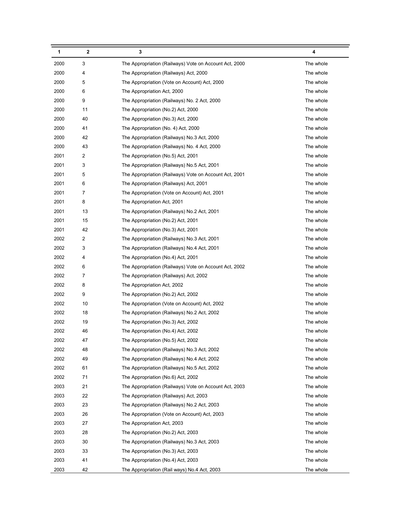| 1    | 2  | 3                                                      | 4         |
|------|----|--------------------------------------------------------|-----------|
| 2000 | 3  | The Appropriation (Railways) Vote on Account Act, 2000 | The whole |
| 2000 | 4  | The Appropriation (Railways) Act, 2000                 | The whole |
| 2000 | 5  | The Appropriation (Vote on Account) Act, 2000          | The whole |
| 2000 | 6  | The Appropriation Act, 2000                            | The whole |
| 2000 | 9  | The Appropriation (Railways) No. 2 Act, 2000           | The whole |
| 2000 | 11 | The Appropriation (No.2) Act, 2000                     | The whole |
| 2000 | 40 | The Appropriation (No.3) Act, 2000                     | The whole |
| 2000 | 41 | The Appropriation (No. 4) Act, 2000                    | The whole |
| 2000 | 42 | The Appropriation (Railways) No.3 Act, 2000            | The whole |
| 2000 | 43 | The Appropriation (Railways) No. 4 Act, 2000           | The whole |
| 2001 | 2  | The Appropriation (No.5) Act, 2001                     | The whole |
| 2001 | 3  | The Appropriation (Railways) No.5 Act, 2001            | The whole |
| 2001 | 5  | The Appropriation (Railways) Vote on Account Act, 2001 | The whole |
| 2001 | 6  | The Appropriation (Railways) Act, 2001                 | The whole |
| 2001 | 7  | The Appropriation (Vote on Account) Act, 2001          | The whole |
| 2001 | 8  | The Appropriation Act, 2001                            | The whole |
| 2001 | 13 | The Appropriation (Railways) No.2 Act, 2001            | The whole |
| 2001 | 15 | The Appropriation (No.2) Act, 2001                     | The whole |
| 2001 | 42 | The Appropriation (No.3) Act, 2001                     | The whole |
| 2002 | 2  | The Appropriation (Railways) No.3 Act, 2001            | The whole |
| 2002 | 3  | The Appropriation (Railways) No.4 Act, 2001            | The whole |
| 2002 | 4  | The Appropriation (No.4) Act, 2001                     | The whole |
| 2002 | 6  | The Appropriation (Railways) Vote on Account Act, 2002 | The whole |
| 2002 | 7  | The Appropriation (Railways) Act, 2002                 | The whole |
| 2002 | 8  | The Appropriation Act, 2002                            | The whole |
| 2002 | 9  | The Appropriation (No.2) Act, 2002                     | The whole |
| 2002 | 10 | The Appropriation (Vote on Account) Act, 2002          | The whole |
| 2002 | 18 | The Appropriation (Railways) No.2 Act, 2002            | The whole |
| 2002 | 19 | The Appropriation (No.3) Act, 2002                     | The whole |
| 2002 | 46 | The Appropriation (No.4) Act, 2002                     | The whole |
| 2002 | 47 | The Appropriation (No.5) Act, 2002                     | The whole |
| 2002 | 48 | The Appropriation (Railways) No.3 Act, 2002            | The whole |
| 2002 | 49 | The Appropriation (Railways) No.4 Act, 2002            | The whole |
| 2002 | 61 | The Appropriation (Railways) No.5 Act, 2002            | The whole |
| 2002 | 71 | The Appropriation (No.6) Act, 2002                     | The whole |
| 2003 | 21 | The Appropriation (Railways) Vote on Account Act, 2003 | The whole |
| 2003 | 22 | The Appropriation (Railways) Act, 2003                 | The whole |
| 2003 | 23 | The Appropriation (Railways) No.2 Act, 2003            | The whole |
| 2003 | 26 | The Appropriation (Vote on Account) Act, 2003          | The whole |
| 2003 | 27 | The Appropriation Act, 2003                            | The whole |
| 2003 | 28 | The Appropriation (No.2) Act, 2003                     | The whole |
| 2003 | 30 | The Appropriation (Railways) No.3 Act, 2003            | The whole |
| 2003 | 33 | The Appropriation (No.3) Act, 2003                     | The whole |
| 2003 | 41 | The Appropriation (No.4) Act, 2003                     | The whole |
| 2003 | 42 | The Appropriation (Rail ways) No.4 Act, 2003           | The whole |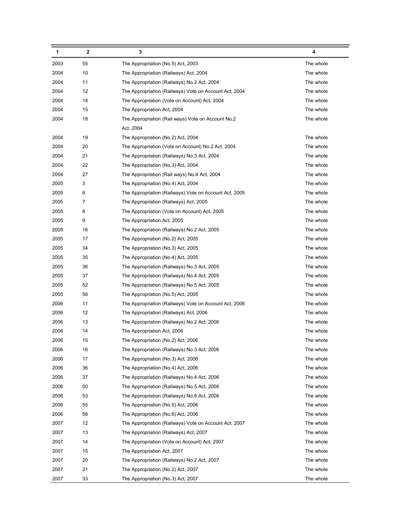| 1    | $\mathbf 2$ | 3                                                      | 4         |
|------|-------------|--------------------------------------------------------|-----------|
| 2003 | 55          | The Appropriation (No.5) Act, 2003                     | The whole |
| 2004 | 10          | The Appropriation (Railways) Act, 2004                 | The whole |
| 2004 | 11          | The Appropriation (Railways) No.2 Act, 2004            | The whole |
| 2004 | 12          | The Appropriation (Railways) Vote on Account Act, 2004 | The whole |
| 2004 | 14          | The Appropriation (Vote on Account) Act, 2004          | The whole |
| 2004 | 15          | The Appropriation Act, 2004                            | The whole |
| 2004 | 18          | The Appropriation (Rail ways) Vote on Account No.2     | The whole |
|      |             | Act, 2004                                              |           |
| 2004 | 19          | The Appropriation (No.2) Act, 2004                     | The whole |
| 2004 | 20          | The Appropriation (Vote on Account) No.2 Act, 2004     | The whole |
| 2004 | 21          | The Appropriation (Railways) No.3 Act, 2004            | The whole |
| 2004 | 22          | The Appropriation (No.3) Act, 2004                     | The whole |
| 2004 | 27          | The Appropriation (Rail ways) No.4 Act, 2004           | The whole |
| 2005 | 3           | The Appropriation (No.4) Act, 2004                     | The whole |
| 2005 | 6           | The Appropriation (Railways) Vote on Account Act, 2005 | The whole |
| 2005 | 7           | The Appropriation (Railways) Act, 2005                 | The whole |
| 2005 | 8           | The Appropriation (Vote on Account) Act, 2005          | The whole |
| 2005 | 9           | The Appropriation Act, 2005                            | The whole |
| 2005 | 16          | The Appropriation (Railways) No.2 Act, 2005            | The whole |
| 2005 | 17          | The Appropriation (No.2) Act, 2005                     | The whole |
| 2005 | 34          | The Appropriation (No.3) Act, 2005                     | The whole |
| 2005 | 35          | The Appropriation (No.4) Act, 2005                     | The whole |
| 2005 | 36          | The Appropriation (Railways) No.3 Act, 2005            | The whole |
| 2005 | 37          | The Appropriation (Railways) No.4 Act, 2005            | The whole |
| 2005 | 52          | The Appropriation (Railways) No.5 Act, 2005            | The whole |
| 2005 | 56          | The Appropriation (No.5) Act, 2005                     | The whole |
| 2006 | 11          | The Appropriation (Railways) Vote on Account Act, 2006 | The whole |
| 2006 | 12          | The Appropriation (Railways) Act, 2006                 | The whole |
| 2006 | 13          | The Appropriation (Railways) No.2 Act, 2006            | The whole |
| 2006 | 14          | The Appropriation Act, 2006                            | The whole |
| 2006 | 15          | The Appropriation (No.2) Act, 2006                     | The whole |
| 2006 | 16          | The Appropriation (Railways) No.3 Act, 2006            | The whole |
| 2006 | 17          | The Appropriation (No.3) Act, 2006                     | The whole |
| 2006 | 36          | The Appropriation (No.4) Act, 2006                     | The whole |
| 2006 | 37          | The Appropriation (Railways) No.4 Act, 2006            | The whole |
| 2006 | 50          | The Appropriation (Railways) No.5 Act, 2006            | The whole |
| 2006 | 53          | The Appropriation (Railways) No.6 Act, 2006            | The whole |
| 2006 | 55          | The Appropriation (No.5) Act, 2006                     | The whole |
| 2006 | 56          | The Appropriation (No.6) Act, 2006                     | The whole |
| 2007 | 12          | The Appropriation (Railways) Vote on Account Act, 2007 | The whole |
| 2007 | 13          | The Appropriation (Railways) Act, 2007                 | The whole |
| 2007 | 14          | The Appropriation (Vote on Account) Act, 2007          | The whole |
| 2007 | 15          | The Appropriation Act, 2007                            | The whole |
| 2007 | 20          | The Appropriation (Railways) No.2 Act, 2007            | The whole |
| 2007 | 21          | The Appropriation (No.2) Act, 2007                     | The whole |
| 2007 | 33          | The Appropriation (No.3) Act, 2007                     | The whole |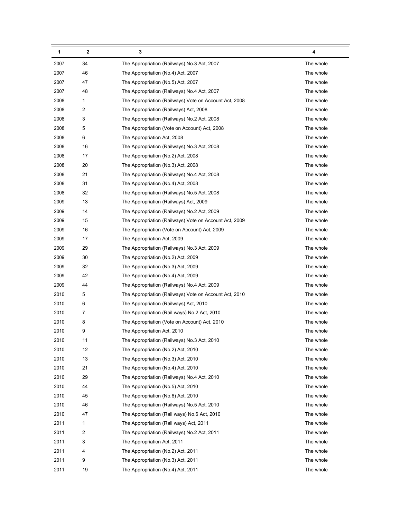| 1    | 2  | 3                                                      | 4         |
|------|----|--------------------------------------------------------|-----------|
| 2007 | 34 | The Appropriation (Railways) No.3 Act, 2007            | The whole |
| 2007 | 46 | The Appropriation (No.4) Act, 2007                     | The whole |
| 2007 | 47 | The Appropriation (No.5) Act, 2007                     | The whole |
| 2007 | 48 | The Appropriation (Railways) No.4 Act, 2007            | The whole |
| 2008 | 1  | The Appropriation (Railways) Vote on Account Act, 2008 | The whole |
| 2008 | 2  | The Appropriation (Railways) Act, 2008                 | The whole |
| 2008 | 3  | The Appropriation (Railways) No.2 Act, 2008            | The whole |
| 2008 | 5  | The Appropriation (Vote on Account) Act, 2008          | The whole |
| 2008 | 6  | The Appropriation Act, 2008                            | The whole |
| 2008 | 16 | The Appropriation (Railways) No.3 Act, 2008            | The whole |
| 2008 | 17 | The Appropriation (No.2) Act, 2008                     | The whole |
| 2008 | 20 | The Appropriation (No.3) Act, 2008                     | The whole |
| 2008 | 21 | The Appropriation (Railways) No.4 Act, 2008            | The whole |
| 2008 | 31 | The Appropriation (No.4) Act, 2008                     | The whole |
| 2008 | 32 | The Appropriation (Railways) No.5 Act, 2008            | The whole |
| 2009 | 13 | The Appropriation (Railways) Act, 2009                 | The whole |
| 2009 | 14 | The Appropriation (Railways) No.2 Act, 2009            | The whole |
| 2009 | 15 | The Appropriation (Railways) Vote on Account Act, 2009 | The whole |
| 2009 | 16 | The Appropriation (Vote on Account) Act, 2009          | The whole |
| 2009 | 17 | The Appropriation Act, 2009                            | The whole |
| 2009 | 29 | The Appropriation (Railways) No.3 Act, 2009            | The whole |
| 2009 | 30 | The Appropriation (No.2) Act, 2009                     | The whole |
| 2009 | 32 | The Appropriation (No.3) Act, 2009                     | The whole |
| 2009 | 42 | The Appropriation (No.4) Act, 2009                     | The whole |
| 2009 | 44 | The Appropriation (Railways) No.4 Act, 2009            | The whole |
| 2010 | 5  | The Appropriation (Railways) Vote on Account Act, 2010 | The whole |
| 2010 | 6  | The Appropriation (Railways) Act, 2010                 | The whole |
| 2010 | 7  | The Appropriation (Rail ways) No.2 Act, 2010           | The whole |
| 2010 | 8  | The Appropriation (Vote on Account) Act, 2010          | The whole |
| 2010 | 9  | The Appropriation Act, 2010                            | The whole |
| 2010 | 11 | The Appropriation (Railways) No.3 Act, 2010            | The whole |
| 2010 | 12 | The Appropriation (No.2) Act, 2010                     | The whole |
| 2010 | 13 | The Appropriation (No.3) Act, 2010                     | The whole |
| 2010 | 21 | The Appropriation (No.4) Act, 2010                     | The whole |
| 2010 | 29 | The Appropriation (Railways) No.4 Act, 2010            | The whole |
| 2010 | 44 | The Appropriation (No.5) Act, 2010                     | The whole |
| 2010 | 45 | The Appropriation (No.6) Act, 2010                     | The whole |
| 2010 | 46 | The Appropriation (Railways) No.5 Act, 2010            | The whole |
| 2010 | 47 | The Appropriation (Rail ways) No.6 Act, 2010           | The whole |
| 2011 | 1  | The Appropriation (Rail ways) Act, 2011                | The whole |
| 2011 | 2  | The Appropriation (Railways) No.2 Act, 2011            | The whole |
| 2011 | 3  | The Appropriation Act, 2011                            | The whole |
| 2011 | 4  | The Appropriation (No.2) Act, 2011                     | The whole |
| 2011 | 9  | The Appropriation (No.3) Act, 2011                     | The whole |
| 2011 | 19 | The Appropriation (No.4) Act, 2011                     | The whole |